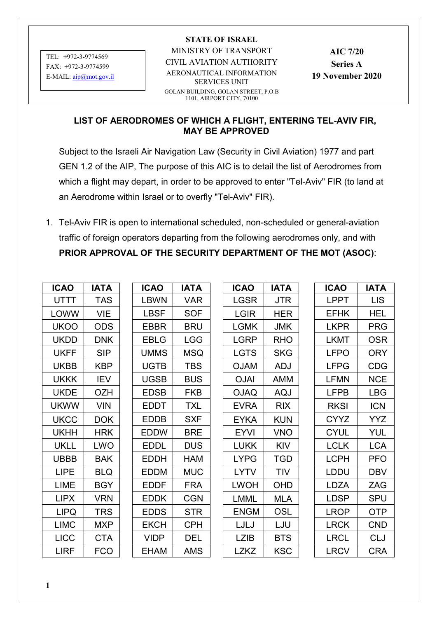TEL: +972-3-9774569 FAX: +972-3-9774599 E-MAIL: [aip@mot.gov.il](mailto:ESHELM@mot.gov.il)

## **STATE OF ISRAEL**

MINISTRY OF TRANSPORT

CIVIL AVIATION AUTHORITY

AERONAUTICAL INFORMATION SERVICES UNIT

GOLAN BUILDING, GOLAN STREET, P.O.B 1101, AIRPORT CITY, 70100

**AIC 7/20 Series A 19 November 2020**

## **LIST OF AERODROMES OF WHICH A FLIGHT, ENTERING TEL-AVIV FIR, MAY BE APPROVED**

Subject to the Israeli Air Navigation Law (Security in Civil Aviation) 1977 and part GEN 1.2 of the AIP, The purpose of this AIC is to detail the list of Aerodromes from which a flight may depart, in order to be approved to enter "Tel-Aviv" FIR (to land at an Aerodrome within Israel or to overfly "Tel-Aviv" FIR).

1. Tel-Aviv FIR is open to international scheduled, non-scheduled or general-aviation traffic of foreign operators departing from the following aerodromes only, and with **PRIOR APPROVAL OF THE SECURITY DEPARTMENT OF THE MOT (ASOC)**:

| <b>ICAO</b> | <b>IATA</b> | <b>ICAO</b> | <b>IATA</b> | <b>ICAO</b> | <b>IATA</b> | <b>ICAO</b> | <b>IATA</b> |
|-------------|-------------|-------------|-------------|-------------|-------------|-------------|-------------|
| UTTT        | <b>TAS</b>  | <b>LBWN</b> | <b>VAR</b>  | <b>LGSR</b> | <b>JTR</b>  | <b>LPPT</b> | <b>LIS</b>  |
| LOWW        | <b>VIE</b>  | <b>LBSF</b> | <b>SOF</b>  | <b>LGIR</b> | <b>HER</b>  | <b>EFHK</b> | <b>HEL</b>  |
| <b>UKOO</b> | <b>ODS</b>  | EBBR        | <b>BRU</b>  | <b>LGMK</b> | <b>JMK</b>  | <b>LKPR</b> | <b>PRG</b>  |
| <b>UKDD</b> | <b>DNK</b>  | <b>EBLG</b> | <b>LGG</b>  | <b>LGRP</b> | <b>RHO</b>  | <b>LKMT</b> | <b>OSR</b>  |
| <b>UKFF</b> | <b>SIP</b>  | <b>UMMS</b> | <b>MSQ</b>  | <b>LGTS</b> | <b>SKG</b>  | <b>LFPO</b> | <b>ORY</b>  |
| <b>UKBB</b> | <b>KBP</b>  | <b>UGTB</b> | <b>TBS</b>  | <b>OJAM</b> | <b>ADJ</b>  | <b>LFPG</b> | <b>CDG</b>  |
| <b>UKKK</b> | <b>IEV</b>  | <b>UGSB</b> | <b>BUS</b>  | <b>OJAI</b> | <b>AMM</b>  | <b>LFMN</b> | <b>NCE</b>  |
| <b>UKDE</b> | <b>OZH</b>  | <b>EDSB</b> | <b>FKB</b>  | <b>OJAQ</b> | AQJ         | <b>LFPB</b> | <b>LBG</b>  |
| <b>UKWW</b> | <b>VIN</b>  | <b>EDDT</b> | <b>TXL</b>  | <b>EVRA</b> | <b>RIX</b>  | <b>RKSI</b> | <b>ICN</b>  |
| <b>UKCC</b> | <b>DOK</b>  | <b>EDDB</b> | <b>SXF</b>  | <b>EYKA</b> | <b>KUN</b>  | <b>CYYZ</b> | <b>YYZ</b>  |
| <b>UKHH</b> | <b>HRK</b>  | <b>EDDW</b> | <b>BRE</b>  | <b>EYVI</b> | <b>VNO</b>  | <b>CYUL</b> | YUL         |
| <b>UKLL</b> | <b>LWO</b>  | <b>EDDL</b> | <b>DUS</b>  | <b>LUKK</b> | <b>KIV</b>  | <b>LCLK</b> | <b>LCA</b>  |
| <b>UBBB</b> | <b>BAK</b>  | <b>EDDH</b> | <b>HAM</b>  | <b>LYPG</b> | <b>TGD</b>  | <b>LCPH</b> | <b>PFO</b>  |
| <b>LIPE</b> | <b>BLQ</b>  | <b>EDDM</b> | <b>MUC</b>  | LYTV        | TIV         | <b>LDDU</b> | <b>DBV</b>  |
| LIME        | <b>BGY</b>  | <b>EDDF</b> | <b>FRA</b>  | <b>LWOH</b> | <b>OHD</b>  | LDZA        | ZAG         |
| <b>LIPX</b> | <b>VRN</b>  | <b>EDDK</b> | <b>CGN</b>  | <b>LMML</b> | <b>MLA</b>  | <b>LDSP</b> | <b>SPU</b>  |
| <b>LIPQ</b> | <b>TRS</b>  | <b>EDDS</b> | <b>STR</b>  | <b>ENGM</b> | OSL         | <b>LROP</b> | <b>OTP</b>  |
| <b>LIMC</b> | <b>MXP</b>  | <b>EKCH</b> | <b>CPH</b>  | LJLJ        | LJU         | <b>LRCK</b> | <b>CND</b>  |
| <b>LICC</b> | <b>CTA</b>  | <b>VIDP</b> | <b>DEL</b>  | <b>LZIB</b> | <b>BTS</b>  | <b>LRCL</b> | <b>CLJ</b>  |
| <b>LIRF</b> | <b>FCO</b>  | <b>EHAM</b> | AMS         | <b>LZKZ</b> | <b>KSC</b>  | <b>LRCV</b> | <b>CRA</b>  |